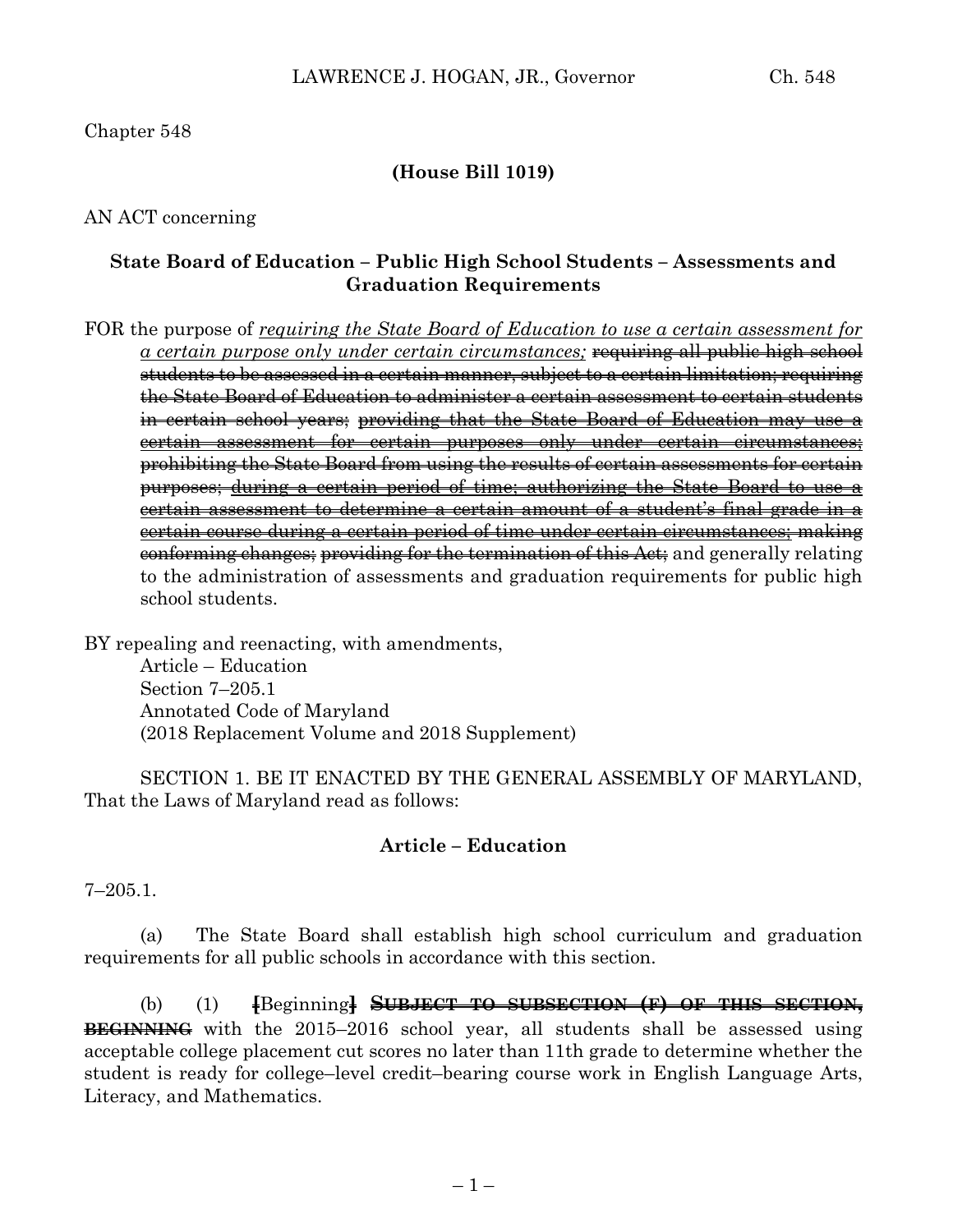# Chapter 548

# **(House Bill 1019)**

### AN ACT concerning

# **State Board of Education – Public High School Students – Assessments and Graduation Requirements**

FOR the purpose of *requiring the State Board of Education to use a certain assessment for a certain purpose only under certain circumstances;* requiring all public high school students to be assessed in a certain manner, subject to a certain limitation; requiring the State Board of Education to administer a certain assessment to certain students in certain school years; providing that the State Board of Education may use a certain assessment for certain purposes only under certain circumstances; prohibiting the State Board from using the results of certain assessments for certain purposes; during a certain period of time; authorizing the State Board to use a certain assessment to determine a certain amount of a student's final grade in a certain course during a certain period of time under certain circumstances; making conforming changes; providing for the termination of this Act; and generally relating to the administration of assessments and graduation requirements for public high school students.

BY repealing and reenacting, with amendments,

Article – Education Section 7–205.1 Annotated Code of Maryland (2018 Replacement Volume and 2018 Supplement)

SECTION 1. BE IT ENACTED BY THE GENERAL ASSEMBLY OF MARYLAND, That the Laws of Maryland read as follows:

#### **Article – Education**

7–205.1.

(a) The State Board shall establish high school curriculum and graduation requirements for all public schools in accordance with this section.

(b) (1) **[**Beginning**] SUBJECT TO SUBSECTION (F) OF THIS SECTION, BEGINNING** with the 2015–2016 school year, all students shall be assessed using acceptable college placement cut scores no later than 11th grade to determine whether the student is ready for college–level credit–bearing course work in English Language Arts, Literacy, and Mathematics.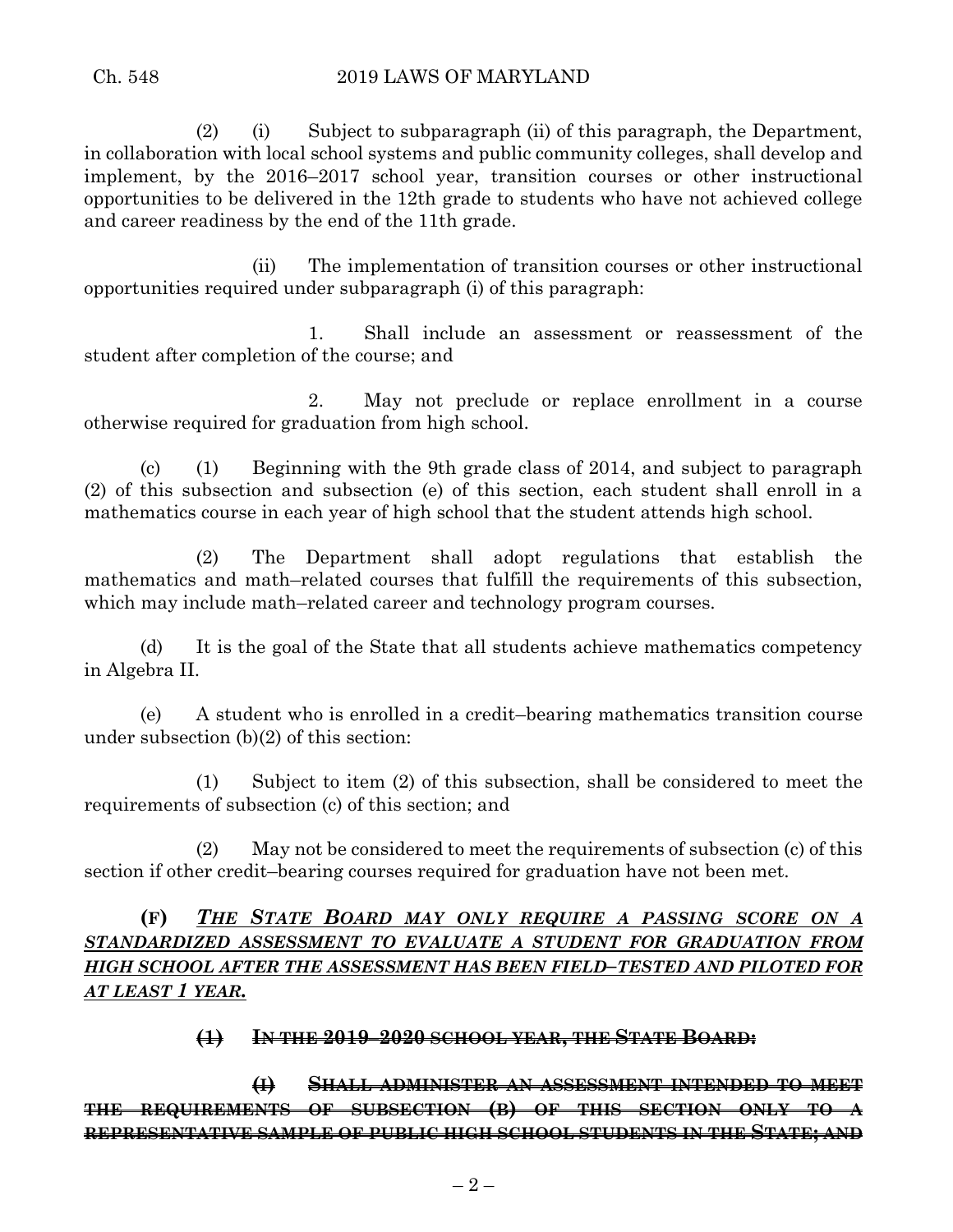(2) (i) Subject to subparagraph (ii) of this paragraph, the Department, in collaboration with local school systems and public community colleges, shall develop and implement, by the 2016–2017 school year, transition courses or other instructional opportunities to be delivered in the 12th grade to students who have not achieved college and career readiness by the end of the 11th grade.

(ii) The implementation of transition courses or other instructional opportunities required under subparagraph (i) of this paragraph:

1. Shall include an assessment or reassessment of the student after completion of the course; and

2. May not preclude or replace enrollment in a course otherwise required for graduation from high school.

(c) (1) Beginning with the 9th grade class of 2014, and subject to paragraph (2) of this subsection and subsection (e) of this section, each student shall enroll in a mathematics course in each year of high school that the student attends high school.

(2) The Department shall adopt regulations that establish the mathematics and math–related courses that fulfill the requirements of this subsection, which may include math–related career and technology program courses.

(d) It is the goal of the State that all students achieve mathematics competency in Algebra II.

(e) A student who is enrolled in a credit–bearing mathematics transition course under subsection (b)(2) of this section:

(1) Subject to item (2) of this subsection, shall be considered to meet the requirements of subsection (c) of this section; and

(2) May not be considered to meet the requirements of subsection (c) of this section if other credit–bearing courses required for graduation have not been met.

**(F)** *THE STATE BOARD MAY ONLY REQUIRE A PASSING SCORE ON A STANDARDIZED ASSESSMENT TO EVALUATE A STUDENT FOR GRADUATION FROM HIGH SCHOOL AFTER THE ASSESSMENT HAS BEEN FIELD–TESTED AND PILOTED FOR AT LEAST 1 YEAR.*

**(1) IN THE 2019–2020 SCHOOL YEAR, THE STATE BOARD:**

**(I) SHALL ADMINISTER AN ASSESSMENT INTENDED TO MEET THE REQUIREMENTS OF SUBSECTION (B) OF THIS SECTION ONLY TO A REPRESENTATIVE SAMPLE OF PUBLIC HIGH SCHOOL STUDENTS IN THE STATE; AND**